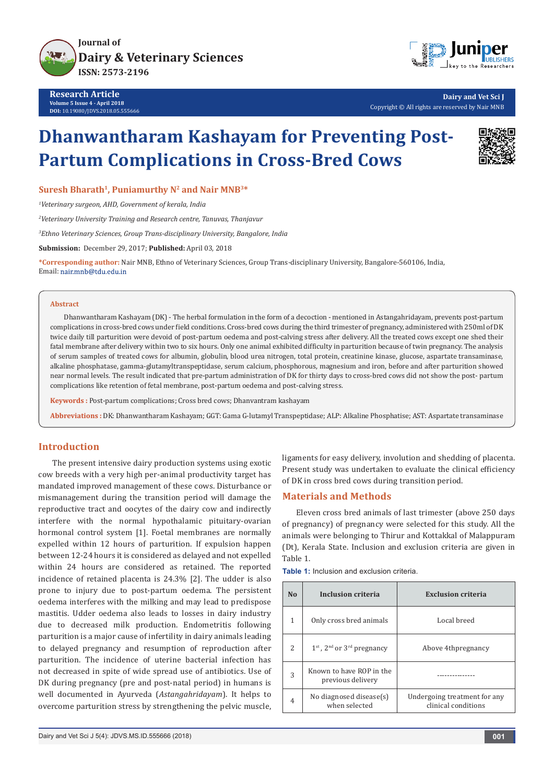

**Research Article Volume 5 Issue 4 - April 2018 DOI:** [10.19080/JDVS.2018.05.555666](http://dx.doi.org/10.19080/JDVS.2018.05.555666)



**Dairy and Vet Sci J** Copyright © All rights are reserved by Nair MNB

# **Dhanwantharam Kashayam for Preventing Post-Partum Complications in Cross-Bred Cows**



**Suresh Bharath1, Puniamurthy N2 and Nair MNB3\***

*1 Veterinary surgeon, AHD, Government of kerala, India*

*2 Veterinary University Training and Research centre, Tanuvas, Thanjavur*

*3 Ethno Veterinary Sciences, Group Trans-disciplinary University, Bangalore, India*

**Submission:** December 29, 2017; **Published:** April 03, 2018

**\*Corresponding author:** Nair MNB, Ethno of Veterinary Sciences, Group Trans-disciplinary University, Bangalore-560106, India, Email: nair.mnb@tdu.edu.in

#### **Abstract**

Dhanwantharam Kashayam (DK) - The herbal formulation in the form of a decoction - mentioned in Astangahridayam, prevents post-partum complications in cross-bred cows under field conditions. Cross-bred cows during the third trimester of pregnancy, administered with 250ml of DK twice daily till parturition were devoid of post-partum oedema and post-calving stress after delivery. All the treated cows except one shed their fatal membrane after delivery within two to six hours. Only one animal exhibited difficulty in parturition because of twin pregnancy. The analysis of serum samples of treated cows for albumin, globulin, blood urea nitrogen, total protein, creatinine kinase, glucose, aspartate transaminase, alkaline phosphatase, gamma-glutamyltranspeptidase, serum calcium, phosphorous, magnesium and iron, before and after parturition showed near normal levels. The result indicated that pre-partum administration of DK for thirty days to cross-bred cows did not show the post- partum complications like retention of fetal membrane, post-partum oedema and post-calving stress.

**Keywords :** Post-partum complications; Cross bred cows; Dhanvantram kashayam

**Abbreviations :** DK: Dhanwantharam Kashayam; GGT: Gama G-lutamyl Transpeptidase; ALP: Alkaline Phosphatise; AST: Aspartate transaminase

## **Introduction**

The present intensive dairy production systems using exotic cow breeds with a very high per-animal productivity target has mandated improved management of these cows. Disturbance or mismanagement during the transition period will damage the reproductive tract and oocytes of the dairy cow and indirectly interfere with the normal hypothalamic pituitary-ovarian hormonal control system [1]. Foetal membranes are normally expelled within 12 hours of parturition. If expulsion happen between 12-24 hours it is considered as delayed and not expelled within 24 hours are considered as retained. The reported incidence of retained placenta is 24.3% [2]. The udder is also prone to injury due to post-partum oedema. The persistent oedema interferes with the milking and may lead to predispose mastitis. Udder oedema also leads to losses in dairy industry due to decreased milk production. Endometritis following parturition is a major cause of infertility in dairy animals leading to delayed pregnancy and resumption of reproduction after parturition. The incidence of uterine bacterial infection has not decreased in spite of wide spread use of antibiotics. Use of DK during pregnancy (pre and post-natal period) in humans is well documented in Ayurveda (*Astangahridayam*). It helps to overcome parturition stress by strengthening the pelvic muscle,

ligaments for easy delivery, involution and shedding of placenta. Present study was undertaken to evaluate the clinical efficiency of DK in cross bred cows during transition period.

#### **Materials and Methods**

Eleven cross bred animals of last trimester (above 250 days of pregnancy) of pregnancy were selected for this study. All the animals were belonging to Thirur and Kottakkal of Malappuram (Dt), Kerala State. Inclusion and exclusion criteria are given in Table 1.

| <b>Table 1:</b> Inclusion and exclusion criteria. |  |  |  |
|---------------------------------------------------|--|--|--|
|---------------------------------------------------|--|--|--|

| N <sub>0</sub> | <b>Inclusion criteria</b>                     | <b>Exclusion criteria</b>                           |  |
|----------------|-----------------------------------------------|-----------------------------------------------------|--|
| 1              | Only cross bred animals                       | Local breed                                         |  |
| $\mathcal{L}$  | $1st$ , $2nd$ or $3rd$ pregnancy              | Above 4thpregnancy                                  |  |
| 3              | Known to have ROP in the<br>previous delivery |                                                     |  |
| 4              | No diagnosed disease(s)<br>when selected      | Undergoing treatment for any<br>clinical conditions |  |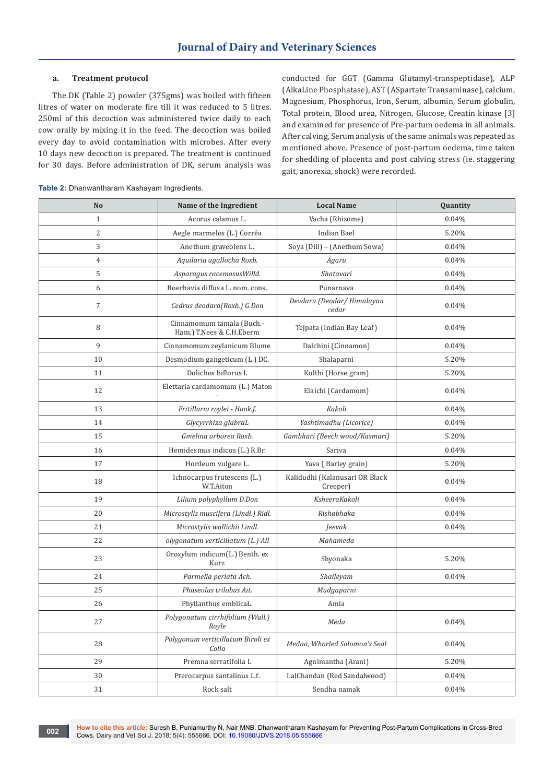#### **a. Treatment protocol**

The DK (Table 2) powder (375gms) was boiled with fifteen litres of water on moderate fire till it was reduced to 5 litres. 250ml of this decoction was administered twice daily to each cow orally by mixing it in the feed. The decoction was boiled every day to avoid contamination with microbes. After every 10 days new decoction is prepared. The treatment is continued for 30 days. Before administration of DK, serum analysis was conducted for GGT (Gamma Glutamyl-transpeptidase), ALP (AlkaLine Phosphatase), AST (ASpartate Transaminase), calcium, Magnesium, Phosphorus, Iron, Serum, albumin, Serum globulin, Total protein, Blood urea, Nitrogen, Glucose, Creatin kinase [3] and examined for presence of Pre-partum oedema in all animals. After calving, Serum analysis of the same animals was repeated as mentioned above. Presence of post-partum oedema, time taken for shedding of placenta and post calving stress (ie. staggering gait, anorexia, shock) were recorded.

| No             | Name of the Ingredient                                | <b>Local Name</b>                          | Quantity |
|----------------|-------------------------------------------------------|--------------------------------------------|----------|
| $\mathbf{1}$   | Acorus calamus L.<br>Vacha (Rhizome)                  |                                            | 0.04%    |
| $\overline{2}$ | Aegle marmelos (L.) Corrêa<br>Indian Bael             |                                            | 5.20%    |
| 3              | Anethum graveolens L.                                 | Soya (Dill) - (Anethum Sowa)               | 0.04%    |
| $\overline{4}$ | Aquilaria agallocha Roxb.                             | Agaru                                      | 0.04%    |
| 5              | Asparagus racemosus Willd.                            | Shatavari                                  | 0.04%    |
| 6              | Boerhavia diffusa L. nom. cons.                       | Punarnava                                  | 0.04%    |
| $\overline{7}$ | Cedrus deodara(Roxb.) G.Don                           | Devdaru (Deodar/ Himalayan<br>cedar        | 0.04%    |
| 8              | Cinnamomum tamala (Buch.-<br>Ham.) T.Nees & C.H.Eberm | Tejpata (Indian Bay Leaf)                  | 0.04%    |
| 9              | Cinnamomum zeylanicum Blume                           | Dalchini (Cinnamon)                        | 0.04%    |
| 10             | Desmodium gangeticum (L.) DC.                         | Shalaparni                                 | 5.20%    |
| 11             | Dolichos biflorus L                                   | Kulthi (Horse gram)                        | 5.20%    |
| 12             | Elettaria cardamomum (L.) Maton                       | Elaichi (Cardamom)                         | 0.04%    |
| 13             | Fritillaria roylei - Hook.f.                          | Kakoli                                     | 0.04%    |
| 14             | Glycyrrhiza glabraL                                   | Yashtimadhu (Licorice)                     | 0.04%    |
| 15             | Gmelina arborea Roxb.                                 | Gambhari (Beech wood/Kasmari)              | 5.20%    |
| 16             | Hemidesmus indicus (L.) R.Br.                         | Sariva                                     | 0.04%    |
| 17             | Hordeum vulgare L.                                    | Yava (Barley grain)                        | 5.20%    |
| 18             | Ichnocarpus frutescens (L.)<br>W.T.Aiton              | Kalidudhi (Kalanusari OR Black<br>Creeper) | 0.04%    |
| 19             | Lilium polyphyllum D.Don                              | KsheeraKakoli                              | 0.04%    |
| 20             | Microstylis muscifera (Lindl.) Ridl.                  | Rishabhaka                                 | 0.04%    |
| 21             | Microstylis wallichii Lindl.                          | Jeevak                                     | 0.04%    |
| 22             | olygonatum verticillatum (L.) All                     | Mahameda                                   |          |
| 23             | Oroxylum indicum(L.) Benth. ex<br>Kurz                | Shyonaka                                   | 5.20%    |
| 24             | Parmelia perlata Ach.                                 | Shaileyam                                  | 0.04%    |
| 25             | Phaseolus trilobus Ait.                               | Mudgaparni                                 |          |
| 26             | Phyllanthus emblicaL.                                 | Amla                                       |          |
| 27             | Polygonatum cirrhifolium (Wall.)<br>Royle             | Meda                                       | 0.04%    |
| 28             | Polygonum verticillatum Biroli ex<br>Colla            | Medaa, Whorled Solomon's Seal              | 0.04%    |
| 29             | Premna serratifolia L                                 | Agnimantha (Arani)                         | 5.20%    |
| 30             | Pterocarpus santalinus L.f.                           | LalChandan (Red Sandalwood)<br>0.04%       |          |
| 31             | Rock salt                                             | Sendha namak                               | 0.04%    |

**Table 2:** Dhanwantharam Kashayam Ingredients.

**How to cite this article:** Suresh B, Puniamurthy N, Nair MNB. Dhanwantharam Kashayam for Preventing Post-Partum Complications in Cross-Bred **COLUT A FOW TO CHE THIS AFTICIE:** Suresh B, Puniamurity N, Nail MNB. Driamvanthalam Nashi<br>Cows. Dairy and Vet Sci J. 2018; 5(4): 555666. DOI: <u>[10.19080/JDVS.2018.05.555666](http://dx.doi.org/10.19080/JDVS.2018.05.555666)</u>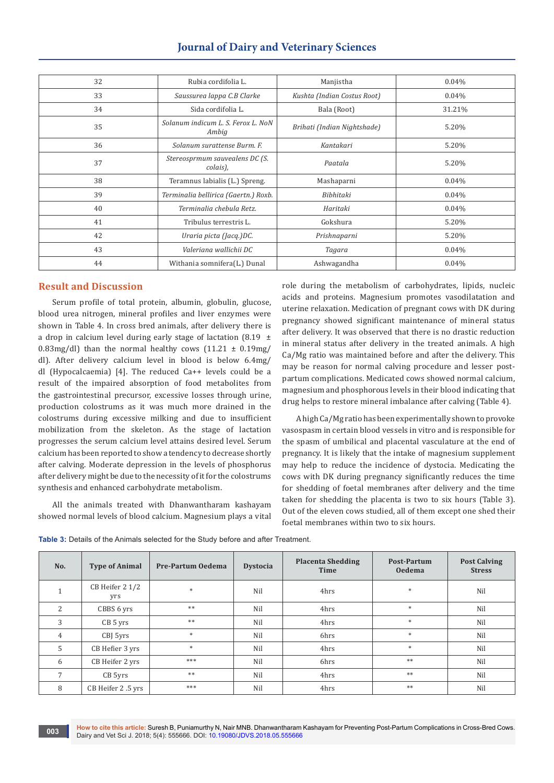| 32 | Rubia cordifolia L.                         | Manjistha                   | 0.04%  |
|----|---------------------------------------------|-----------------------------|--------|
| 33 | Saussurea lappa C.B Clarke                  | Kushta (Indian Costus Root) | 0.04%  |
| 34 | Sida cordifolia L.                          | Bala (Root)                 | 31.21% |
| 35 | Solanum indicum L. S. Ferox L. NoN<br>Ambig | Brihati (Indian Nightshade) | 5.20%  |
| 36 | Solanum surattense Burm. F.                 | Kantakari                   | 5.20%  |
| 37 | Stereosprmum sauvealens DC (S.<br>colais),  | Paatala                     | 5.20%  |
| 38 | Teramnus labialis (L.) Spreng.              | Mashaparni                  | 0.04%  |
| 39 | Terminalia bellirica (Gaertn.) Roxb.        | Bibhitaki                   | 0.04%  |
| 40 | Terminalia chebula Retz.                    | Haritaki                    | 0.04%  |
| 41 | Tribulus terrestris L.                      | Gokshura                    | 5.20%  |
| 42 | Uraria picta (Jacq.)DC.                     | Prishnaparni                | 5.20%  |
| 43 | Valeriana wallichii DC                      | Tagara                      | 0.04%  |
| 44 | Withania somnifera(L.) Dunal                | Ashwagandha                 | 0.04%  |
|    |                                             |                             |        |

## **Journal of Dairy and Veterinary Sciences**

## **Result and Discussion**

Serum profile of total protein, albumin, globulin, glucose, blood urea nitrogen, mineral profiles and liver enzymes were shown in Table 4. In cross bred animals, after delivery there is a drop in calcium level during early stage of lactation (8.19  $\pm$ 0.83mg/dl) than the normal healthy cows  $(11.21 \pm 0.19 \text{mg})$ dl). After delivery calcium level in blood is below 6.4mg/ dl (Hypocalcaemia) [4]. The reduced Ca++ levels could be a result of the impaired absorption of food metabolites from the gastrointestinal precursor, excessive losses through urine, production colostrums as it was much more drained in the colostrums during excessive milking and due to insufficient mobilization from the skeleton. As the stage of lactation progresses the serum calcium level attains desired level. Serum calcium has been reported to show a tendency to decrease shortly after calving. Moderate depression in the levels of phosphorus after delivery might be due to the necessity of it for the colostrums synthesis and enhanced carbohydrate metabolism.

All the animals treated with Dhanwantharam kashayam showed normal levels of blood calcium. Magnesium plays a vital role during the metabolism of carbohydrates, lipids, nucleic acids and proteins. Magnesium promotes vasodilatation and uterine relaxation. Medication of pregnant cows with DK during pregnancy showed significant maintenance of mineral status after delivery. It was observed that there is no drastic reduction in mineral status after delivery in the treated animals. A high Ca/Mg ratio was maintained before and after the delivery. This may be reason for normal calving procedure and lesser postpartum complications. Medicated cows showed normal calcium, magnesium and phosphorous levels in their blood indicating that drug helps to restore mineral imbalance after calving (Table 4).

A high Ca/Mg ratio has been experimentally shown to provoke vasospasm in certain blood vessels in vitro and is responsible for the spasm of umbilical and placental vasculature at the end of pregnancy. It is likely that the intake of magnesium supplement may help to reduce the incidence of dystocia. Medicating the cows with DK during pregnancy significantly reduces the time for shedding of foetal membranes after delivery and the time taken for shedding the placenta is two to six hours (Table 3). Out of the eleven cows studied, all of them except one shed their foetal membranes within two to six hours.

| Table 3: Details of the Animals selected for the Study before and after Treatment. |  |
|------------------------------------------------------------------------------------|--|
|------------------------------------------------------------------------------------|--|

| No.                      | <b>Type of Animal</b>  | Pre-Partum Oedema | <b>Dystocia</b> | <b>Placenta Shedding</b><br>Time | Post-Partum<br><b>Oedema</b> | <b>Post Calving</b><br><b>Stress</b> |
|--------------------------|------------------------|-------------------|-----------------|----------------------------------|------------------------------|--------------------------------------|
| $\mathbf{\mathbf{\bot}}$ | CB Heifer 2 1/2<br>yrs | $\ast$            | Nil             | 4hrs                             | $\ast$                       | Nil                                  |
| $\mathcal{L}$            | CBBS 6 yrs             | $\ast\ast$        | Nil             | 4hrs                             | $*$                          | Nil                                  |
| 3                        | $CB5$ yrs              | **                | Nil             | 4hrs                             | $\ast$                       | Nil                                  |
| $\overline{4}$           | CBJ 5yrs               | $\ast$            | Nil             | 6hrs                             | $\ast$                       | Nil                                  |
| 5                        | CB Hefier 3 yrs        | $\ast$            | Nil             | 4hrs                             | $\ast$                       | Nil                                  |
| 6                        | CB Heifer 2 yrs        | ***               | Nil             | 6hrs                             | $**$                         | Nil                                  |
| $\overline{7}$           | CB 5yrs                | **                | Nil             | 4hrs                             | **                           | Nil                                  |
| 8                        | CB Heifer 2.5 yrs      | ***               | Nil             | 4hrs                             | **                           | Nil                                  |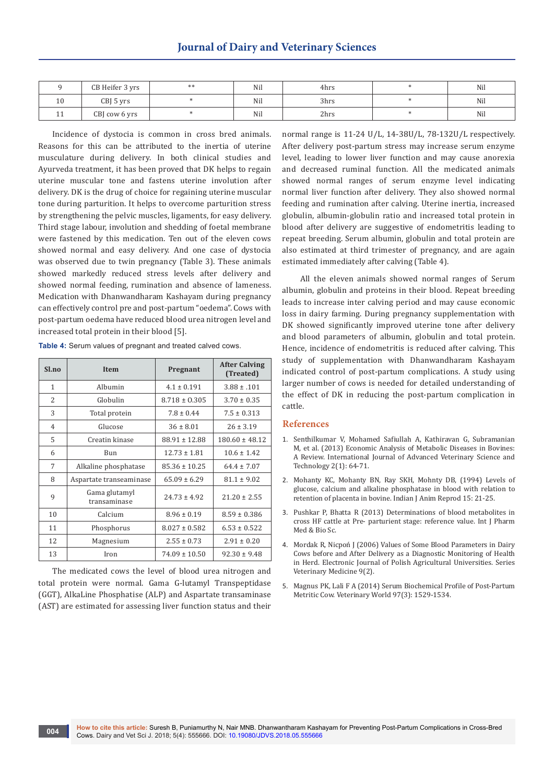|           | CB Heifer 3 yrs | ** | Nil | 4hrs | Nil |
|-----------|-----------------|----|-----|------|-----|
| 10        | $CBJ$ 5 yrs     |    | Nil | 3hrs | Nil |
| <b>++</b> | CBJ cow 6 yrs   |    | Nil | 2hrs | Nil |

Incidence of dystocia is common in cross bred animals. Reasons for this can be attributed to the inertia of uterine musculature during delivery. In both clinical studies and Ayurveda treatment, it has been proved that DK helps to regain uterine muscular tone and fastens uterine involution after delivery. DK is the drug of choice for regaining uterine muscular tone during parturition. It helps to overcome parturition stress by strengthening the pelvic muscles, ligaments, for easy delivery. Third stage labour, involution and shedding of foetal membrane were fastened by this medication. Ten out of the eleven cows showed normal and easy delivery. And one case of dystocia was observed due to twin pregnancy (Table 3). These animals showed markedly reduced stress levels after delivery and showed normal feeding, rumination and absence of lameness. Medication with Dhanwandharam Kashayam during pregnancy can effectively control pre and post-partum "oedema". Cows with post-partum oedema have reduced blood urea nitrogen level and increased total protein in their blood [5].

| Sl.no          | <b>Item</b>                   | Pregnant          | <b>After Calving</b><br>(Treated) |
|----------------|-------------------------------|-------------------|-----------------------------------|
| $\mathbf{1}$   | Albumin                       | $4.1 \pm 0.191$   | $3.88 \pm .101$                   |
| $\overline{2}$ | Globulin                      | $8.718 \pm 0.305$ | $3.70 \pm 0.35$                   |
| 3              | Total protein                 | $7.8 \pm 0.44$    | $7.5 \pm 0.313$                   |
| $\overline{4}$ | Glucose                       | $36 \pm 8.01$     | $26 \pm 3.19$                     |
| 5              | Creatin kinase                | $88.91 \pm 12.88$ | $180.60 \pm 48.12$                |
| 6              | Bun                           | $12.73 \pm 1.81$  | $10.6 \pm 1.42$                   |
| 7              | Alkaline phosphatase          | $85.36 \pm 10.25$ | $64.4 \pm 7.07$                   |
| 8              | Aspartate transeaminase       | $65.09 \pm 6.29$  | $81.1 \pm 9.02$                   |
| 9              | Gama glutamyl<br>transaminase | $24.73 \pm 4.92$  | $21.20 \pm 2.55$                  |
| 10             | Calcium                       | $8.96 \pm 0.19$   | $8.59 \pm 0.386$                  |
| 11             | Phosphorus                    | $8.027 \pm 0.582$ | $6.53 \pm 0.522$                  |
| 12             | Magnesium                     | $2.55 \pm 0.73$   | $2.91 \pm 0.20$                   |
| 13             | Iron                          | $74.09 \pm 10.50$ | $92.30 \pm 9.48$                  |

**Table 4:** Serum values of pregnant and treated calved cows.

The medicated cows the level of blood urea nitrogen and total protein were normal. Gama G-lutamyl Transpeptidase (GGT), AlkaLine Phosphatise (ALP) and Aspartate transaminase (AST) are estimated for assessing liver function status and their

normal range is 11-24 U/L, 14-38U/L, 78-132U/L respectively. After delivery post-partum stress may increase serum enzyme level, leading to lower liver function and may cause anorexia and decreased ruminal function. All the medicated animals showed normal ranges of serum enzyme level indicating normal liver function after delivery. They also showed normal feeding and rumination after calving. Uterine inertia, increased globulin, albumin-globulin ratio and increased total protein in blood after delivery are suggestive of endometritis leading to repeat breeding. Serum albumin, globulin and total protein are also estimated at third trimester of pregnancy, and are again estimated immediately after calving (Table 4).

 All the eleven animals showed normal ranges of Serum albumin, globulin and proteins in their blood. Repeat breeding leads to increase inter calving period and may cause economic loss in dairy farming. During pregnancy supplementation with DK showed significantly improved uterine tone after delivery and blood parameters of albumin, globulin and total protein. Hence, incidence of endometritis is reduced after calving. This study of supplementation with Dhanwandharam Kashayam indicated control of post-partum complications. A study using larger number of cows is needed for detailed understanding of the effect of DK in reducing the post-partum complication in cattle.

### **References**

- 1. [Senthilkumar V, Mohamed Safiullah A, Kathiravan G, Subramanian](http://scientific.cloud-journals.com/index.php/IJAVST/article/view/Sci-137)  [M, et al. \(2013\) Economic Analysis of Metabolic Diseases in Bovines:](http://scientific.cloud-journals.com/index.php/IJAVST/article/view/Sci-137)  [A Review. International Journal of Advanced Veterinary Science and](http://scientific.cloud-journals.com/index.php/IJAVST/article/view/Sci-137)  [Technology 2\(1\): 64-71.](http://scientific.cloud-journals.com/index.php/IJAVST/article/view/Sci-137)
- 2. Mohanty KC, Mohanty BN, Ray SKH, Mohnty DB, (1994) Levels of glucose, calcium and alkaline phosphatase in blood with relation to retention of placenta in bovine. Indian J Anim Reprod 15: 21-25.
- 3. [Pushkar P, Bhatta R \(2013\) Determinations of blood metabolites in](http://www.ijpmbs.com/uploadfile/2015/0412/20150412031700962.pdf)  [cross HF cattle at Pre- parturient stage: reference value. Int J Pharm](http://www.ijpmbs.com/uploadfile/2015/0412/20150412031700962.pdf)  [Med & Bio Sc.](http://www.ijpmbs.com/uploadfile/2015/0412/20150412031700962.pdf)
- 4. [Mordak R, Nicpoń J \(2006\) Values of Some Blood Parameters in Dairy](http://yadda.icm.edu.pl/yadda/element/bwmeta1.element.agro-article-74c41824-50b0-4e33-b226-8aff309b65b1)  [Cows before and After Delivery as a Diagnostic Monitoring of Health](http://yadda.icm.edu.pl/yadda/element/bwmeta1.element.agro-article-74c41824-50b0-4e33-b226-8aff309b65b1)  [in Herd. Electronic Journal of Polish Agricultural Universities. Series](http://yadda.icm.edu.pl/yadda/element/bwmeta1.element.agro-article-74c41824-50b0-4e33-b226-8aff309b65b1)  [Veterinary Medicine 9\(2\).](http://yadda.icm.edu.pl/yadda/element/bwmeta1.element.agro-article-74c41824-50b0-4e33-b226-8aff309b65b1)
- 5. [Magnus PK, Lali F A \(2014\) Serum Biochemical Profile of Post-Partum](http://www.veterinaryworld.org/Vol.2/January/Serum%20Biochemical%20Profile%20of%20Post-Partum%20Metritic%20Cow.pdf)  [Metritic Cow. Veterinary World 97\(3\): 1529-1534.](http://www.veterinaryworld.org/Vol.2/January/Serum%20Biochemical%20Profile%20of%20Post-Partum%20Metritic%20Cow.pdf)